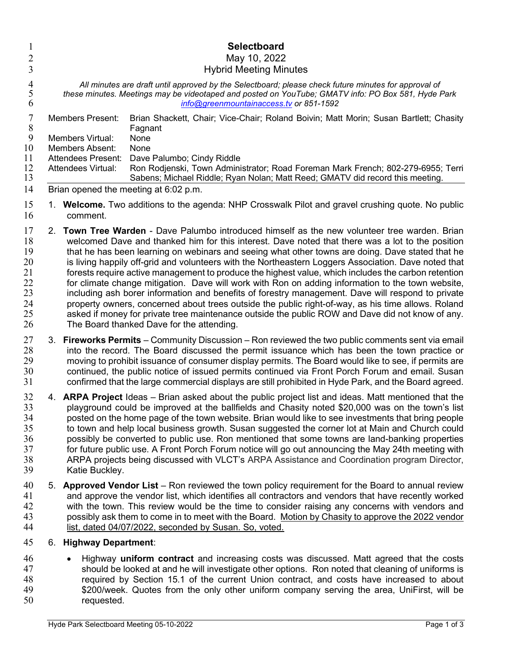| 1<br>$\overline{2}$                                      |                | <b>Selectboard</b><br>May 10, 2022                                                                                                                                                                                                                                                                                                                                                                                                                                                                                                                                                                                                                                                                                                                                                                                                                                                                                                                                                        |
|----------------------------------------------------------|----------------|-------------------------------------------------------------------------------------------------------------------------------------------------------------------------------------------------------------------------------------------------------------------------------------------------------------------------------------------------------------------------------------------------------------------------------------------------------------------------------------------------------------------------------------------------------------------------------------------------------------------------------------------------------------------------------------------------------------------------------------------------------------------------------------------------------------------------------------------------------------------------------------------------------------------------------------------------------------------------------------------|
| 3                                                        |                | <b>Hybrid Meeting Minutes</b>                                                                                                                                                                                                                                                                                                                                                                                                                                                                                                                                                                                                                                                                                                                                                                                                                                                                                                                                                             |
| $\overline{4}$<br>5<br>6                                 |                | All minutes are draft until approved by the Selectboard; please check future minutes for approval of<br>these minutes. Meetings may be videotaped and posted on YouTube; GMATV info: PO Box 581, Hyde Park<br>info@greenmountainaccess.tv or 851-1592                                                                                                                                                                                                                                                                                                                                                                                                                                                                                                                                                                                                                                                                                                                                     |
| 7<br>$8\,$<br>9<br>10<br>11<br>12<br>13<br>14            |                | <b>Members Present:</b><br>Brian Shackett, Chair; Vice-Chair; Roland Boivin; Matt Morin; Susan Bartlett; Chasity<br>Fagnant<br>Members Virtual:<br>None<br><b>Members Absent:</b><br>None<br><b>Attendees Present:</b><br>Dave Palumbo; Cindy Riddle<br>Attendees Virtual:<br>Ron Rodjenski, Town Administrator; Road Foreman Mark French; 802-279-6955; Terri<br>Sabens; Michael Riddle; Ryan Nolan; Matt Reed; GMATV did record this meeting.<br>Brian opened the meeting at 6:02 p.m.                                                                                                                                                                                                                                                                                                                                                                                                                                                                                                  |
| 15<br>16                                                 |                | 1. Welcome. Two additions to the agenda: NHP Crosswalk Pilot and gravel crushing quote. No public<br>comment.                                                                                                                                                                                                                                                                                                                                                                                                                                                                                                                                                                                                                                                                                                                                                                                                                                                                             |
| 17<br>18<br>19<br>20<br>21<br>22<br>23<br>24<br>25<br>26 | 2 <sub>1</sub> | <b>Town Tree Warden</b> - Dave Palumbo introduced himself as the new volunteer tree warden. Brian<br>welcomed Dave and thanked him for this interest. Dave noted that there was a lot to the position<br>that he has been learning on webinars and seeing what other towns are doing. Dave stated that he<br>is living happily off-grid and volunteers with the Northeastern Loggers Association. Dave noted that<br>forests require active management to produce the highest value, which includes the carbon retention<br>for climate change mitigation. Dave will work with Ron on adding information to the town website,<br>including ash borer information and benefits of forestry management. Dave will respond to private<br>property owners, concerned about trees outside the public right-of-way, as his time allows. Roland<br>asked if money for private tree maintenance outside the public ROW and Dave did not know of any.<br>The Board thanked Dave for the attending. |
| 27<br>28<br>29<br>30<br>31                               | 3.             | Fireworks Permits - Community Discussion - Ron reviewed the two public comments sent via email<br>into the record. The Board discussed the permit issuance which has been the town practice or<br>moving to prohibit issuance of consumer display permits. The Board would like to see, if permits are<br>continued, the public notice of issued permits continued via Front Porch Forum and email. Susan<br>confirmed that the large commercial displays are still prohibited in Hyde Park, and the Board agreed.                                                                                                                                                                                                                                                                                                                                                                                                                                                                        |
| 32<br>33<br>34<br>35<br>36<br>37<br>38<br>39             |                | 4. ARPA Project Ideas – Brian asked about the public project list and ideas. Matt mentioned that the<br>playground could be improved at the ballfields and Chasity noted \$20,000 was on the town's list<br>posted on the home page of the town website. Brian would like to see investments that bring people<br>to town and help local business growth. Susan suggested the corner lot at Main and Church could<br>possibly be converted to public use. Ron mentioned that some towns are land-banking properties<br>for future public use. A Front Porch Forum notice will go out announcing the May 24th meeting with<br>ARPA projects being discussed with VLCT's ARPA Assistance and Coordination program Director,<br>Katie Buckley.                                                                                                                                                                                                                                               |
| 40                                                       | 5.             | Approved Vendor List - Ron reviewed the town policy requirement for the Board to annual review                                                                                                                                                                                                                                                                                                                                                                                                                                                                                                                                                                                                                                                                                                                                                                                                                                                                                            |

41 and approve the vendor list, which identifies all contractors and vendors that have recently worked<br>42 with the town. This review would be the time to consider raising any concerns with vendors and with the town. This review would be the time to consider raising any concerns with vendors and 43 possibly ask them to come in to meet with the Board. Motion by Chasity to approve the 2022 vendor 44 list, dated 04/07/2022, seconded by Susan. So, voted.

## 6. Highway Department:

46 • Highway uniform contract and increasing costs was discussed. Matt agreed that the costs should be looked at and he will investigate other options. Ron noted that cleaning of uniforms is 48 required by Section 15.1 of the current Union contract, and costs have increased to about<br>49 **19** S200/week, Quotes from the only other uniform company serving the area. UniFirst, will be \$200/week. Quotes from the only other uniform company serving the area, UniFirst, will be requested.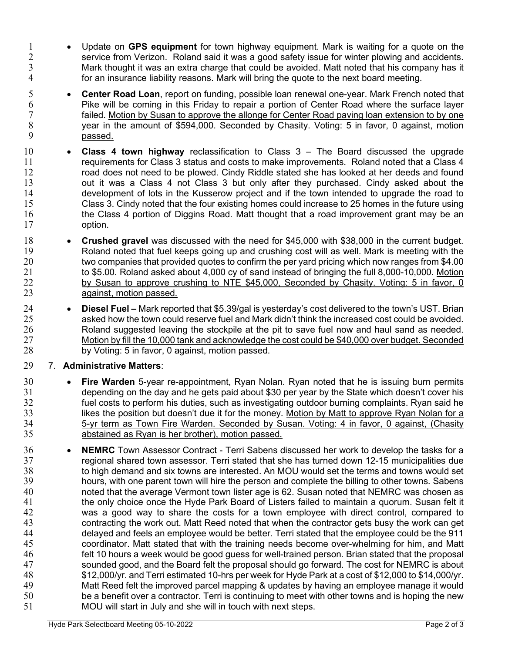- 1 Update on GPS equipment for town highway equipment. Mark is waiting for a quote on the service from Verizon. Roland said it was a good safety issue for winter plowing and accidents. Mark thought it was an extra charge that could be avoided. Matt noted that his company has it for an insurance liability reasons. Mark will bring the quote to the next board meeting.
- **Center Road Loan**, report on funding, possible loan renewal one-year. Mark French noted that 6 Pike will be coming in this Friday to repair a portion of Center Road where the surface layer<br>7 failed. Motion by Susan to approve the allonge for Center Road paying loan extension to by one failed. Motion by Susan to approve the allonge for Center Road paving loan extension to by one year in the amount of \$594,000. Seconded by Chasity. Voting: 5 in favor, 0 against, motion passed.
- 10 Class 4 town highway reclassification to Class 3 The Board discussed the upgrade **requirements for Class 3 status and costs to make improvements. Roland noted that a Class 4** 12 road does not need to be plowed. Cindy Riddle stated she has looked at her deeds and found out it was a Class 4 not Class 3 but only after they purchased. Cindy asked about the development of lots in the Kusserow project and if the town intended to upgrade the road to<br>15 Class 3. Cindy noted that the four existing homes could increase to 25 homes in the future using Class 3. Cindy noted that the four existing homes could increase to 25 homes in the future using 16 the Class 4 portion of Diggins Road. Matt thought that a road improvement grant may be an option.
- **Crushed gravel** was discussed with the need for \$45,000 with \$38,000 in the current budget. Roland noted that fuel keeps going up and crushing cost will as well. Mark is meeting with the 20 two companies that provided quotes to confirm the per yard pricing which now ranges from \$4.00<br>21 to \$5.00. Roland asked about 4.000 cv of sand instead of bringing the full 8.000-10.000. Motion to \$5.00. Roland asked about 4,000 cy of sand instead of bringing the full 8,000-10,000. Motion by Susan to approve crushing to NTE \$45,000, Seconded by Chasity. Voting: 5 in favor, 0 against, motion passed.
- 24 **Diesel Fuel –** Mark reported that \$5.39/gal is yesterday's cost delivered to the town's UST. Brian<br>25 asked how the town could reserve fuel and Mark didn't think the increased cost could be avoided. asked how the town could reserve fuel and Mark didn't think the increased cost could be avoided. Roland suggested leaving the stockpile at the pit to save fuel now and haul sand as needed. 27 Motion by fill the 10,000 tank and acknowledge the cost could be \$40,000 over budget. Seconded by Voting: 5 in favor, 0 against, motion passed.

## 7. Administrative Matters:

- 30 Fire Warden 5-year re-appointment, Ryan Nolan. Ryan noted that he is issuing burn permits depending on the day and he gets paid about \$30 per year by the State which doesn't cover his fuel costs to perform his duties, such as investigating outdoor burning complaints. Ryan said he likes the position but doesn't due it for the money. Motion by Matt to approve Ryan Nolan for a 5-yr term as Town Fire Warden. Seconded by Susan. Voting: 4 in favor, 0 against, (Chasity abstained as Ryan is her brother), motion passed.
- **NEMRC** Town Assessor Contract Terri Sabens discussed her work to develop the tasks for a regional shared town assessor. Terri stated that she has turned down 12-15 municipalities due to high demand and six towns are interested. An MOU would set the terms and towns would set hours, with one parent town will hire the person and complete the billing to other towns. Sabens noted that the average Vermont town lister age is 62. Susan noted that NEMRC was chosen as the only choice once the Hyde Park Board of Listers failed to maintain a quorum. Susan felt it was a good way to share the costs for a town employee with direct control, compared to contracting the work out. Matt Reed noted that when the contractor gets busy the work can get delayed and feels an employee would be better. Terri stated that the employee could be the 911 coordinator. Matt stated that with the training needs become over-whelming for him, and Matt felt 10 hours a week would be good guess for well-trained person. Brian stated that the proposal sounded good, and the Board felt the proposal should go forward. The cost for NEMRC is about \$12,000/yr. and Terri estimated 10-hrs per week for Hyde Park at a cost of \$12,000 to \$14,000/yr. Matt Reed felt the improved parcel mapping & updates by having an employee manage it would be a benefit over a contractor. Terri is continuing to meet with other towns and is hoping the new MOU will start in July and she will in touch with next steps.